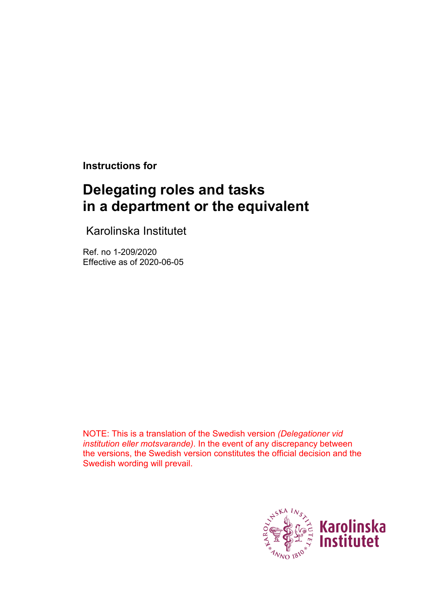**Instructions for**

# **Delegating roles and tasks in a department or the equivalent**

Karolinska Institutet

Ref. no 1-209/2020 Effective as of 2020-06-05

NOTE: This is a translation of the Swedish version *(Delegationer vid institution eller motsvarande)*. In the event of any discrepancy between the versions, the Swedish version constitutes the official decision and the Swedish wording will prevail.

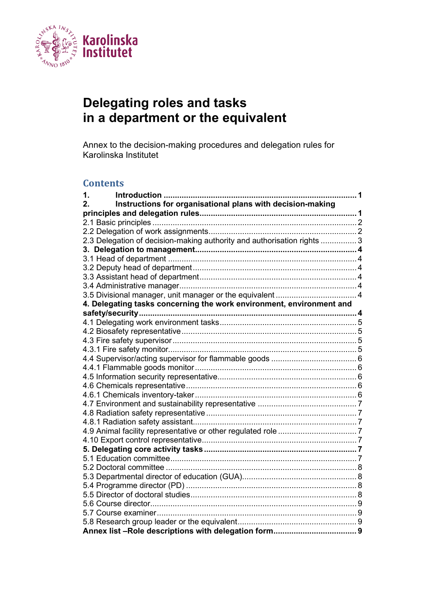

# **Delegating roles and tasks in a department or the equivalent**

Annex to the decision-making procedures and delegation rules for Karolinska Institutet

#### **Contents**

| Introduction<br>1.<br>. 1                                               |  |  |  |  |
|-------------------------------------------------------------------------|--|--|--|--|
| Instructions for organisational plans with decision-making<br>2.        |  |  |  |  |
|                                                                         |  |  |  |  |
|                                                                         |  |  |  |  |
|                                                                         |  |  |  |  |
| 2.3 Delegation of decision-making authority and authorisation rights  3 |  |  |  |  |
|                                                                         |  |  |  |  |
|                                                                         |  |  |  |  |
|                                                                         |  |  |  |  |
|                                                                         |  |  |  |  |
|                                                                         |  |  |  |  |
|                                                                         |  |  |  |  |
| 4. Delegating tasks concerning the work environment, environment and    |  |  |  |  |
|                                                                         |  |  |  |  |
|                                                                         |  |  |  |  |
|                                                                         |  |  |  |  |
|                                                                         |  |  |  |  |
|                                                                         |  |  |  |  |
|                                                                         |  |  |  |  |
|                                                                         |  |  |  |  |
|                                                                         |  |  |  |  |
|                                                                         |  |  |  |  |
|                                                                         |  |  |  |  |
|                                                                         |  |  |  |  |
|                                                                         |  |  |  |  |
|                                                                         |  |  |  |  |
|                                                                         |  |  |  |  |
|                                                                         |  |  |  |  |
|                                                                         |  |  |  |  |
|                                                                         |  |  |  |  |
|                                                                         |  |  |  |  |
|                                                                         |  |  |  |  |
|                                                                         |  |  |  |  |
|                                                                         |  |  |  |  |
|                                                                         |  |  |  |  |
|                                                                         |  |  |  |  |
|                                                                         |  |  |  |  |
|                                                                         |  |  |  |  |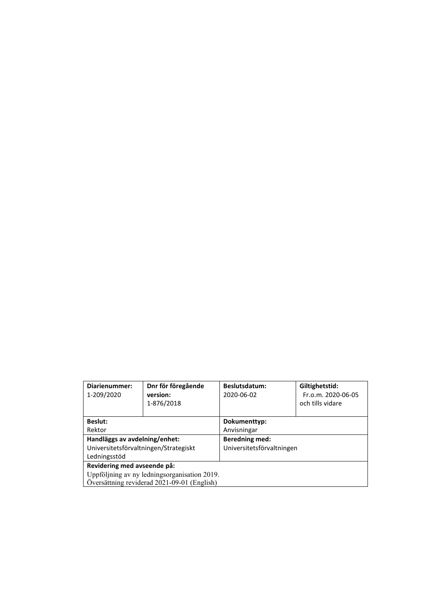| Diarienummer:<br>1-209/2020                  | Dnr för föregående<br>version:<br>1-876/2018 | Beslutsdatum:<br>2020-06-02 | Giltighetstid:<br>Fr.o.m. 2020-06-05<br>och tills vidare |  |
|----------------------------------------------|----------------------------------------------|-----------------------------|----------------------------------------------------------|--|
| <b>Beslut:</b>                               |                                              | Dokumenttyp:                |                                                          |  |
| Rektor                                       |                                              | Anvisningar                 |                                                          |  |
| Handläggs av avdelning/enhet:                |                                              | <b>Beredning med:</b>       |                                                          |  |
| Universitetsförvaltningen/Strategiskt        |                                              | Universitetsförvaltningen   |                                                          |  |
| Ledningsstöd                                 |                                              |                             |                                                          |  |
| Revidering med avseende på:                  |                                              |                             |                                                          |  |
| Uppföljning av ny ledningsorganisation 2019. |                                              |                             |                                                          |  |
| Översättning reviderad 2021-09-01 (English)  |                                              |                             |                                                          |  |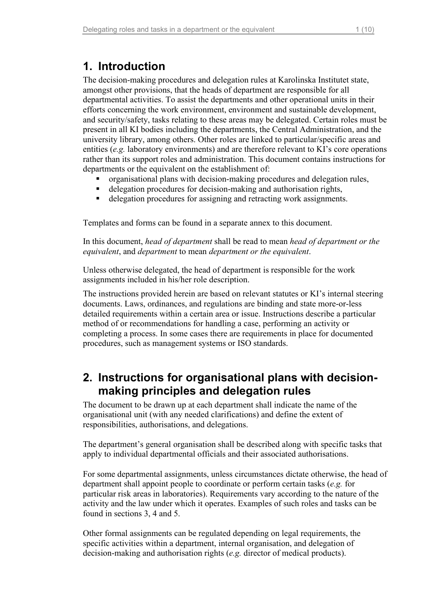# <span id="page-3-0"></span>**1. Introduction**

The decision-making procedures and delegation rules at Karolinska Institutet state, amongst other provisions, that the heads of department are responsible for all departmental activities. To assist the departments and other operational units in their efforts concerning the work environment, environment and sustainable development, and security/safety, tasks relating to these areas may be delegated. Certain roles must be present in all KI bodies including the departments, the Central Administration, and the university library, among others. Other roles are linked to particular/specific areas and entities (*e.g.* laboratory environments) and are therefore relevant to KI's core operations rather than its support roles and administration. This document contains instructions for departments or the equivalent on the establishment of:

- organisational plans with decision-making procedures and delegation rules,
- delegation procedures for decision-making and authorisation rights,
- delegation procedures for assigning and retracting work assignments.

Templates and forms can be found in a separate annex to this document.

In this document, *head of department* shall be read to mean *head of department or the equivalent*, and *department* to mean *department or the equivalent*.

Unless otherwise delegated, the head of department is responsible for the work assignments included in his/her role description.

The instructions provided herein are based on relevant statutes or KI's internal steering documents. Laws, ordinances, and regulations are binding and state more-or-less detailed requirements within a certain area or issue. Instructions describe a particular method of or recommendations for handling a case, performing an activity or completing a process. In some cases there are requirements in place for documented procedures, such as management systems or ISO standards.

# <span id="page-3-1"></span>**2. Instructions for organisational plans with decisionmaking principles and delegation rules**

The document to be drawn up at each department shall indicate the name of the organisational unit (with any needed clarifications) and define the extent of responsibilities, authorisations, and delegations.

The department's general organisation shall be described along with specific tasks that apply to individual departmental officials and their associated authorisations.

For some departmental assignments, unless circumstances dictate otherwise, the head of department shall appoint people to coordinate or perform certain tasks (*e.g.* for particular risk areas in laboratories). Requirements vary according to the nature of the activity and the law under which it operates. Examples of such roles and tasks can be found in sections 3, 4 and 5.

Other formal assignments can be regulated depending on legal requirements, the specific activities within a department, internal organisation, and delegation of decision-making and authorisation rights (*e.g.* director of medical products).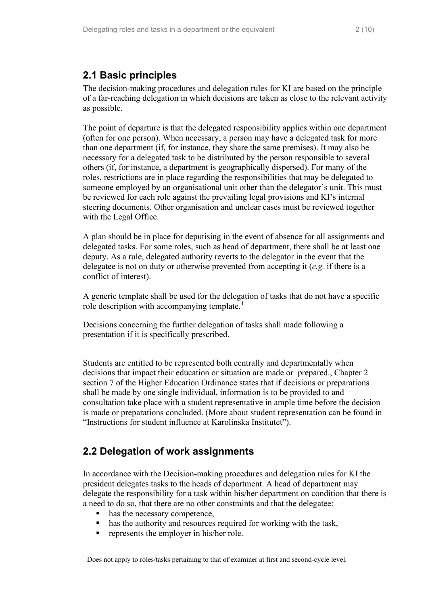### <span id="page-4-0"></span>**2.1 Basic principles**

The decision-making procedures and delegation rules for KI are based on the principle of a far-reaching delegation in which decisions are taken as close to the relevant activity as possible.

The point of departure is that the delegated responsibility applies within one department (often for one person). When necessary, a person may have a delegated task for more than one department (if, for instance, they share the same premises). It may also be necessary for a delegated task to be distributed by the person responsible to several others (if, for instance, a department is geographically dispersed). For many of the roles, restrictions are in place regarding the responsibilities that may be delegated to someone employed by an organisational unit other than the delegator's unit. This must be reviewed for each role against the prevailing legal provisions and KI's internal steering documents. Other organisation and unclear cases must be reviewed together with the Legal Office.

A plan should be in place for deputising in the event of absence for all assignments and delegated tasks. For some roles, such as head of department, there shall be at least one deputy. As a rule, delegated authority reverts to the delegator in the event that the delegatee is not on duty or otherwise prevented from accepting it (*e.g.* if there is a conflict of interest).

A generic template shall be used for the delegation of tasks that do not have a specific role description with accompanying template.<sup>[1](#page-4-2)</sup>

Decisions concerning the further delegation of tasks shall made following a presentation if it is specifically prescribed.

Students are entitled to be represented both centrally and departmentally when decisions that impact their education or situation are made or prepared., Chapter 2 section 7 of the Higher Education Ordinance states that if decisions or preparations shall be made by one single individual, information is to be provided to and consultation take place with a student representative in ample time before the decision is made or preparations concluded. (More about student representation can be found in "Instructions for student influence at Karolinska Institutet").

# <span id="page-4-1"></span>**2.2 Delegation of work assignments**

In accordance with the Decision-making procedures and delegation rules for KI the president delegates tasks to the heads of department. A head of department may delegate the responsibility for a task within his/her department on condition that there is a need to do so, that there are no other constraints and that the delegatee:

- has the necessary competence,
- has the authority and resources required for working with the task,
- represents the employer in his/her role.

<span id="page-4-2"></span><sup>&</sup>lt;sup>1</sup> Does not apply to roles/tasks pertaining to that of examiner at first and second-cycle level.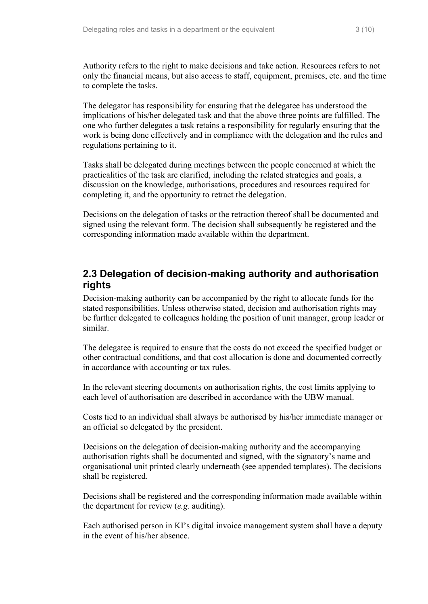Authority refers to the right to make decisions and take action. Resources refers to not only the financial means, but also access to staff, equipment, premises, etc. and the time to complete the tasks.

The delegator has responsibility for ensuring that the delegatee has understood the implications of his/her delegated task and that the above three points are fulfilled. The one who further delegates a task retains a responsibility for regularly ensuring that the work is being done effectively and in compliance with the delegation and the rules and regulations pertaining to it.

Tasks shall be delegated during meetings between the people concerned at which the practicalities of the task are clarified, including the related strategies and goals, a discussion on the knowledge, authorisations, procedures and resources required for completing it, and the opportunity to retract the delegation.

Decisions on the delegation of tasks or the retraction thereof shall be documented and signed using the relevant form. The decision shall subsequently be registered and the corresponding information made available within the department.

### <span id="page-5-0"></span>**2.3 Delegation of decision-making authority and authorisation rights**

Decision-making authority can be accompanied by the right to allocate funds for the stated responsibilities. Unless otherwise stated, decision and authorisation rights may be further delegated to colleagues holding the position of unit manager, group leader or similar.

The delegatee is required to ensure that the costs do not exceed the specified budget or other contractual conditions, and that cost allocation is done and documented correctly in accordance with accounting or tax rules.

In the relevant steering documents on authorisation rights, the cost limits applying to each level of authorisation are described in accordance with the UBW manual.

Costs tied to an individual shall always be authorised by his/her immediate manager or an official so delegated by the president.

Decisions on the delegation of decision-making authority and the accompanying authorisation rights shall be documented and signed, with the signatory's name and organisational unit printed clearly underneath (see appended templates). The decisions shall be registered.

Decisions shall be registered and the corresponding information made available within the department for review (*e.g.* auditing).

Each authorised person in KI's digital invoice management system shall have a deputy in the event of his/her absence.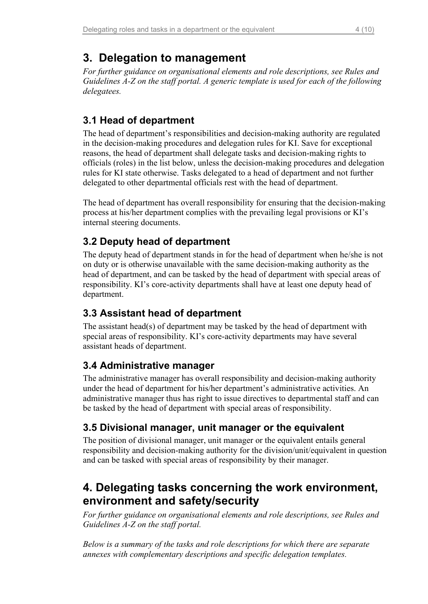# <span id="page-6-0"></span>**3. Delegation to management**

*For further guidance on organisational elements and role descriptions, see Rules and Guidelines A-Z on the staff portal. A generic template is used for each of the following delegatees.*

# <span id="page-6-1"></span>**3.1 Head of department**

The head of department's responsibilities and decision-making authority are regulated in the decision-making procedures and delegation rules for KI. Save for exceptional reasons, the head of department shall delegate tasks and decision-making rights to officials (roles) in the list below, unless the decision-making procedures and delegation rules for KI state otherwise. Tasks delegated to a head of department and not further delegated to other departmental officials rest with the head of department.

The head of department has overall responsibility for ensuring that the decision-making process at his/her department complies with the prevailing legal provisions or KI's internal steering documents.

# <span id="page-6-2"></span>**3.2 Deputy head of department**

The deputy head of department stands in for the head of department when he/she is not on duty or is otherwise unavailable with the same decision-making authority as the head of department, and can be tasked by the head of department with special areas of responsibility. KI's core-activity departments shall have at least one deputy head of department.

### <span id="page-6-3"></span>**3.3 Assistant head of department**

The assistant head(s) of department may be tasked by the head of department with special areas of responsibility. KI's core-activity departments may have several assistant heads of department.

### <span id="page-6-4"></span>**3.4 Administrative manager**

The administrative manager has overall responsibility and decision-making authority under the head of department for his/her department's administrative activities. An administrative manager thus has right to issue directives to departmental staff and can be tasked by the head of department with special areas of responsibility.

# <span id="page-6-5"></span>**3.5 Divisional manager, unit manager or the equivalent**

The position of divisional manager, unit manager or the equivalent entails general responsibility and decision-making authority for the division/unit/equivalent in question and can be tasked with special areas of responsibility by their manager.

# <span id="page-6-6"></span>**4. Delegating tasks concerning the work environment, environment and safety/security**

*For further guidance on organisational elements and role descriptions, see Rules and Guidelines A-Z on the staff portal.* 

*Below is a summary of the tasks and role descriptions for which there are separate annexes with complementary descriptions and specific delegation templates.*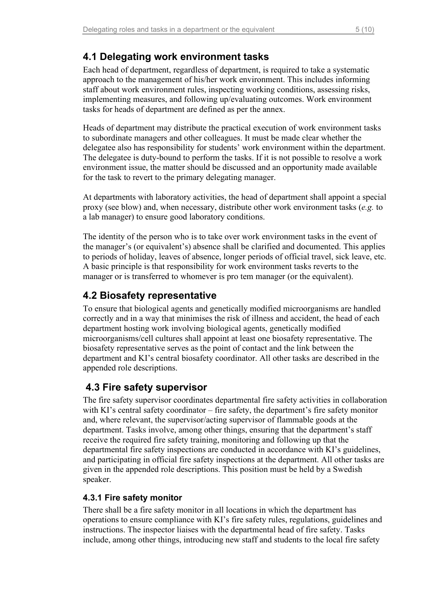# <span id="page-7-0"></span>**4.1 Delegating work environment tasks**

Each head of department, regardless of department, is required to take a systematic approach to the management of his/her work environment. This includes informing staff about work environment rules, inspecting working conditions, assessing risks, implementing measures, and following up/evaluating outcomes. Work environment tasks for heads of department are defined as per the annex.

Heads of department may distribute the practical execution of work environment tasks to subordinate managers and other colleagues. It must be made clear whether the delegatee also has responsibility for students' work environment within the department. The delegatee is duty-bound to perform the tasks. If it is not possible to resolve a work environment issue, the matter should be discussed and an opportunity made available for the task to revert to the primary delegating manager.

At departments with laboratory activities, the head of department shall appoint a special proxy (see blow) and, when necessary, distribute other work environment tasks (*e.g.* to a lab manager) to ensure good laboratory conditions.

The identity of the person who is to take over work environment tasks in the event of the manager's (or equivalent's) absence shall be clarified and documented. This applies to periods of holiday, leaves of absence, longer periods of official travel, sick leave, etc. A basic principle is that responsibility for work environment tasks reverts to the manager or is transferred to whomever is pro tem manager (or the equivalent).

### <span id="page-7-1"></span>**4.2 Biosafety representative**

To ensure that biological agents and genetically modified microorganisms are handled correctly and in a way that minimises the risk of illness and accident, the head of each department hosting work involving biological agents, genetically modified microorganisms/cell cultures shall appoint at least one biosafety representative. The biosafety representative serves as the point of contact and the link between the department and KI's central biosafety coordinator. All other tasks are described in the appended role descriptions.

# <span id="page-7-2"></span>**4.3 Fire safety supervisor**

The fire safety supervisor coordinates departmental fire safety activities in collaboration with KI's central safety coordinator – fire safety, the department's fire safety monitor and, where relevant, the supervisor/acting supervisor of flammable goods at the department. Tasks involve, among other things, ensuring that the department's staff receive the required fire safety training, monitoring and following up that the departmental fire safety inspections are conducted in accordance with KI's guidelines, and participating in official fire safety inspections at the department. All other tasks are given in the appended role descriptions. This position must be held by a Swedish speaker.

#### <span id="page-7-3"></span>**4.3.1 Fire safety monitor**

There shall be a fire safety monitor in all locations in which the department has operations to ensure compliance with KI's fire safety rules, regulations, guidelines and instructions. The inspector liaises with the departmental head of fire safety. Tasks include, among other things, introducing new staff and students to the local fire safety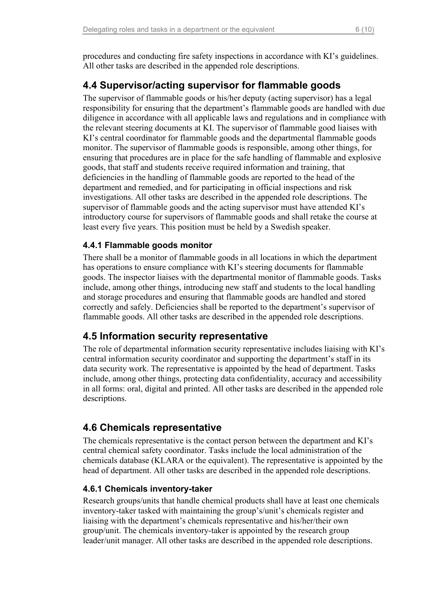procedures and conducting fire safety inspections in accordance with KI's guidelines. All other tasks are described in the appended role descriptions.

### <span id="page-8-0"></span>**4.4 Supervisor/acting supervisor for flammable goods**

The supervisor of flammable goods or his/her deputy (acting supervisor) has a legal responsibility for ensuring that the department's flammable goods are handled with due diligence in accordance with all applicable laws and regulations and in compliance with the relevant steering documents at KI. The supervisor of flammable good liaises with KI's central coordinator for flammable goods and the departmental flammable goods monitor. The supervisor of flammable goods is responsible, among other things, for ensuring that procedures are in place for the safe handling of flammable and explosive goods, that staff and students receive required information and training, that deficiencies in the handling of flammable goods are reported to the head of the department and remedied, and for participating in official inspections and risk investigations. All other tasks are described in the appended role descriptions. The supervisor of flammable goods and the acting supervisor must have attended KI's introductory course for supervisors of flammable goods and shall retake the course at least every five years. This position must be held by a Swedish speaker.

#### <span id="page-8-1"></span>**4.4.1 Flammable goods monitor**

There shall be a monitor of flammable goods in all locations in which the department has operations to ensure compliance with KI's steering documents for flammable goods. The inspector liaises with the departmental monitor of flammable goods. Tasks include, among other things, introducing new staff and students to the local handling and storage procedures and ensuring that flammable goods are handled and stored correctly and safely. Deficiencies shall be reported to the department's supervisor of flammable goods. All other tasks are described in the appended role descriptions.

#### <span id="page-8-2"></span>**4.5 Information security representative**

The role of departmental information security representative includes liaising with KI's central information security coordinator and supporting the department's staff in its data security work. The representative is appointed by the head of department. Tasks include, among other things, protecting data confidentiality, accuracy and accessibility in all forms: oral, digital and printed. All other tasks are described in the appended role descriptions.

#### <span id="page-8-3"></span>**4.6 Chemicals representative**

The chemicals representative is the contact person between the department and KI's central chemical safety coordinator. Tasks include the local administration of the chemicals database (KLARA or the equivalent). The representative is appointed by the head of department. All other tasks are described in the appended role descriptions.

#### <span id="page-8-4"></span>**4.6.1 Chemicals inventory-taker**

Research groups/units that handle chemical products shall have at least one chemicals inventory-taker tasked with maintaining the group's/unit's chemicals register and liaising with the department's chemicals representative and his/her/their own group/unit. The chemicals inventory-taker is appointed by the research group leader/unit manager. All other tasks are described in the appended role descriptions.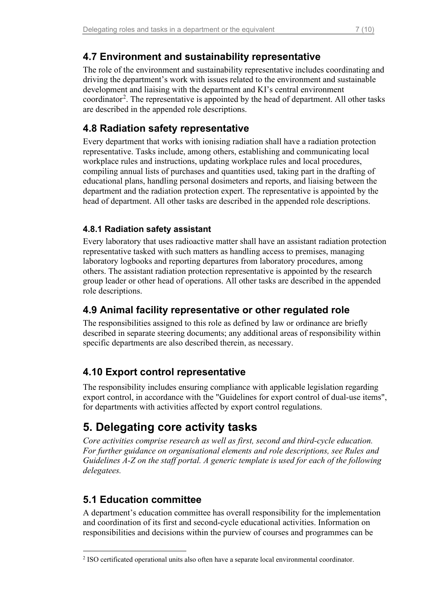### <span id="page-9-0"></span>**4.7 Environment and sustainability representative**

The role of the environment and sustainability representative includes coordinating and driving the department's work with issues related to the environment and sustainable development and liaising with the department and KI's central environment coordinator<sup>[2](#page-9-7)</sup>. The representative is appointed by the head of department. All other tasks are described in the appended role descriptions.

### <span id="page-9-1"></span>**4.8 Radiation safety representative**

Every department that works with ionising radiation shall have a radiation protection representative. Tasks include, among others, establishing and communicating local workplace rules and instructions, updating workplace rules and local procedures, compiling annual lists of purchases and quantities used, taking part in the drafting of educational plans, handling personal dosimeters and reports, and liaising between the department and the radiation protection expert. The representative is appointed by the head of department. All other tasks are described in the appended role descriptions.

#### <span id="page-9-2"></span>**4.8.1 Radiation safety assistant**

Every laboratory that uses radioactive matter shall have an assistant radiation protection representative tasked with such matters as handling access to premises, managing laboratory logbooks and reporting departures from laboratory procedures, among others. The assistant radiation protection representative is appointed by the research group leader or other head of operations. All other tasks are described in the appended role descriptions.

# <span id="page-9-3"></span>**4.9 Animal facility representative or other regulated role**

The responsibilities assigned to this role as defined by law or ordinance are briefly described in separate steering documents; any additional areas of responsibility within specific departments are also described therein, as necessary.

# <span id="page-9-4"></span>**4.10 Export control representative**

The responsibility includes ensuring compliance with applicable legislation regarding export control, in accordance with the "Guidelines for export control of dual-use items", for departments with activities affected by export control regulations.

# <span id="page-9-5"></span>**5. Delegating core activity tasks**

*Core activities comprise research as well as first, second and third-cycle education. For further guidance on organisational elements and role descriptions, see Rules and Guidelines A-Z on the staff portal. A generic template is used for each of the following delegatees.*

# <span id="page-9-6"></span>**5.1 Education committee**

A department's education committee has overall responsibility for the implementation and coordination of its first and second-cycle educational activities. Information on responsibilities and decisions within the purview of courses and programmes can be

<span id="page-9-7"></span><sup>2</sup> ISO certificated operational units also often have a separate local environmental coordinator.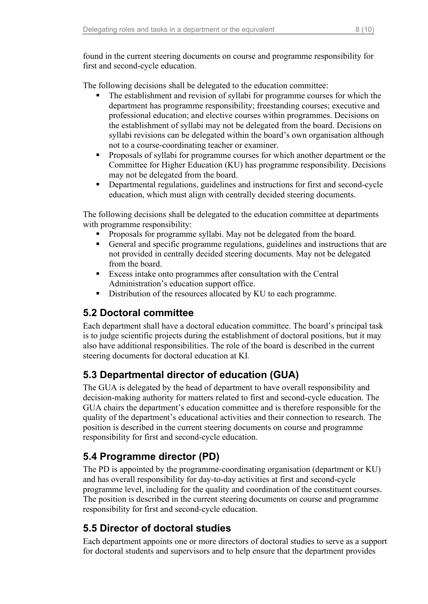found in the current steering documents on course and programme responsibility for first and second-cycle education.

The following decisions shall be delegated to the education committee:

- The establishment and revision of syllabi for programme courses for which the department has programme responsibility; freestanding courses; executive and professional education; and elective courses within programmes. Decisions on the establishment of syllabi may not be delegated from the board. Decisions on syllabi revisions can be delegated within the board's own organisation although not to a course-coordinating teacher or examiner.
- Proposals of syllabi for programme courses for which another department or the Committee for Higher Education (KU) has programme responsibility. Decisions may not be delegated from the board.
- Departmental regulations, guidelines and instructions for first and second-cycle education, which must align with centrally decided steering documents.

The following decisions shall be delegated to the education committee at departments with programme responsibility:

- **Proposals for programme syllabi. May not be delegated from the board.**
- General and specific programme regulations, guidelines and instructions that are not provided in centrally decided steering documents. May not be delegated from the board.
- Excess intake onto programmes after consultation with the Central Administration's education support office.
- Distribution of the resources allocated by KU to each programme.

# <span id="page-10-0"></span>**5.2 Doctoral committee**

Each department shall have a doctoral education committee. The board's principal task is to judge scientific projects during the establishment of doctoral positions, but it may also have additional responsibilities. The role of the board is described in the current steering documents for doctoral education at KI*.*

# <span id="page-10-1"></span>**5.3 Departmental director of education (GUA)**

The GUA is delegated by the head of department to have overall responsibility and decision-making authority for matters related to first and second-cycle education. The GUA chairs the department's education committee and is therefore responsible for the quality of the department's educational activities and their connection to research. The position is described in the current steering documents on course and programme responsibility for first and second-cycle education.

# <span id="page-10-2"></span>**5.4 Programme director (PD)**

The PD is appointed by the programme-coordinating organisation (department or KU) and has overall responsibility for day-to-day activities at first and second-cycle programme level, including for the quality and coordination of the constituent courses. The position is described in the current steering documents on course and programme responsibility for first and second-cycle education.

# <span id="page-10-3"></span>**5.5 Director of doctoral studies**

Each department appoints one or more directors of doctoral studies to serve as a support for doctoral students and supervisors and to help ensure that the department provides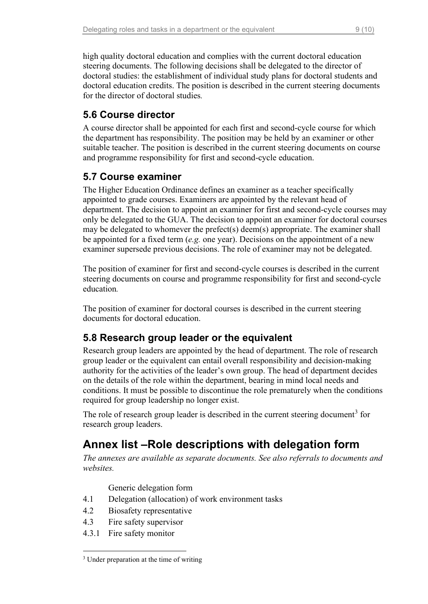high quality doctoral education and complies with the current doctoral education steering documents. The following decisions shall be delegated to the director of doctoral studies: the establishment of individual study plans for doctoral students and doctoral education credits. The position is described in the current steering documents for the director of doctoral studies*.*

### <span id="page-11-0"></span>**5.6 Course director**

A course director shall be appointed for each first and second-cycle course for which the department has responsibility. The position may be held by an examiner or other suitable teacher. The position is described in the current steering documents on course and programme responsibility for first and second-cycle education.

### <span id="page-11-1"></span>**5.7 Course examiner**

The Higher Education Ordinance defines an examiner as a teacher specifically appointed to grade courses. Examiners are appointed by the relevant head of department. The decision to appoint an examiner for first and second-cycle courses may only be delegated to the GUA. The decision to appoint an examiner for doctoral courses may be delegated to whomever the prefect(s) deem(s) appropriate. The examiner shall be appointed for a fixed term (*e.g.* one year). Decisions on the appointment of a new examiner supersede previous decisions. The role of examiner may not be delegated.

The position of examiner for first and second-cycle courses is described in the current steering documents on course and programme responsibility for first and second-cycle education*.*

The position of examiner for doctoral courses is described in the current steering documents for doctoral education.

### <span id="page-11-2"></span>**5.8 Research group leader or the equivalent**

Research group leaders are appointed by the head of department. The role of research group leader or the equivalent can entail overall responsibility and decision-making authority for the activities of the leader's own group. The head of department decides on the details of the role within the department, bearing in mind local needs and conditions. It must be possible to discontinue the role prematurely when the conditions required for group leadership no longer exist.

The role of research group leader is described in the current steering document<sup>[3](#page-11-4)</sup> for research group leaders.

# <span id="page-11-3"></span>**Annex list –Role descriptions with delegation form**

*The annexes are available as separate documents. See also referrals to documents and websites.*

Generic delegation form

- 4.1 Delegation (allocation) of work environment tasks
- 4.2 Biosafety representative
- 4.3 Fire safety supervisor
- 4.3.1 Fire safety monitor

<span id="page-11-4"></span><sup>&</sup>lt;sup>3</sup> Under preparation at the time of writing